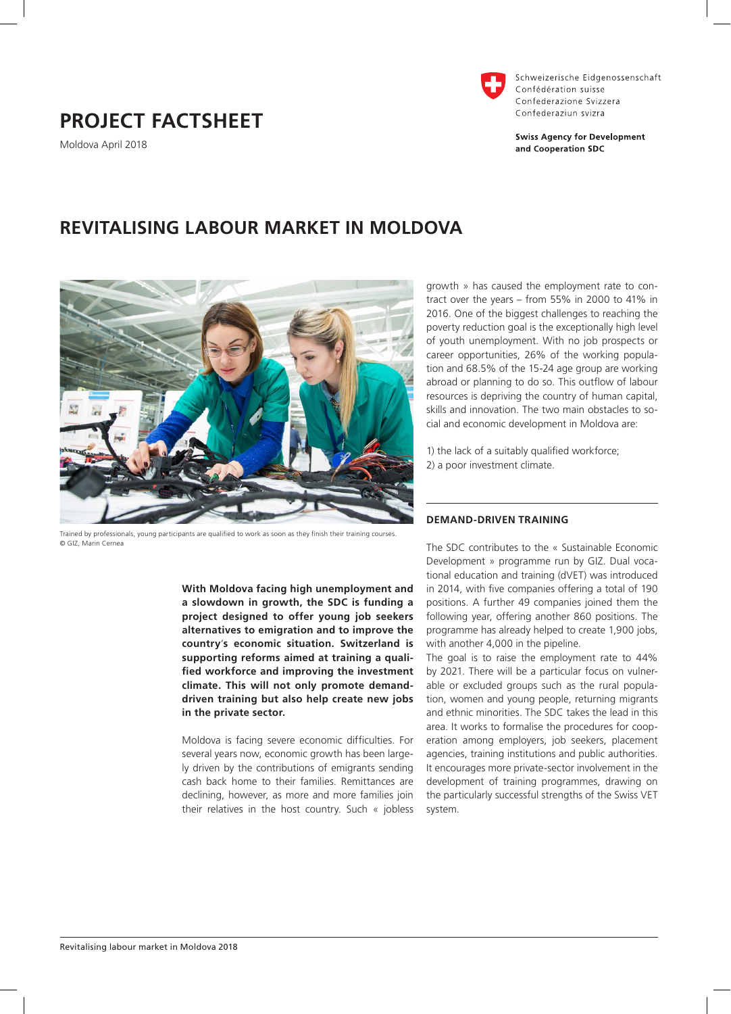# **PROJECT FACTSHEET**

Moldova April 2018



Schweizerische Eidgenossenschaft Confédération suisse Confederazione Svizzera Confederaziun svizra

**Swiss Agency for Development** and Cooperation SDC

## **REVITALISING LABOUR MARKET IN MOLDOVA**



Trained by professionals, young participants are qualified to work as soon as they finish their training courses. © GIZ, Marin Cernea

**With Moldova facing high unemployment and a slowdown in growth, the SDC is funding a project designed to offer young job seekers alternatives to emigration and to improve the country**'**s economic situation. Switzerland is supporting reforms aimed at training a qualified workforce and improving the investment climate. This will not only promote demanddriven training but also help create new jobs in the private sector.** 

Moldova is facing severe economic difficulties. For several years now, economic growth has been largely driven by the contributions of emigrants sending cash back home to their families. Remittances are declining, however, as more and more families join their relatives in the host country. Such « jobless

growth » has caused the employment rate to contract over the years – from 55% in 2000 to 41% in 2016. One of the biggest challenges to reaching the poverty reduction goal is the exceptionally high level of youth unemployment. With no job prospects or career opportunities, 26% of the working population and 68.5% of the 15-24 age group are working abroad or planning to do so. This outflow of labour resources is depriving the country of human capital, skills and innovation. The two main obstacles to social and economic development in Moldova are:

1) the lack of a suitably qualified workforce; 2) a poor investment climate.

#### **DEMAND-DRIVEN TRAINING**

The SDC contributes to the « Sustainable Economic Development » programme run by GIZ. Dual vocational education and training (dVET) was introduced in 2014, with five companies offering a total of 190 positions. A further 49 companies joined them the following year, offering another 860 positions. The programme has already helped to create 1,900 jobs, with another 4,000 in the pipeline.

The goal is to raise the employment rate to 44% by 2021. There will be a particular focus on vulnerable or excluded groups such as the rural population, women and young people, returning migrants and ethnic minorities. The SDC takes the lead in this area. It works to formalise the procedures for cooperation among employers, job seekers, placement agencies, training institutions and public authorities. It encourages more private-sector involvement in the development of training programmes, drawing on the particularly successful strengths of the Swiss VET system.